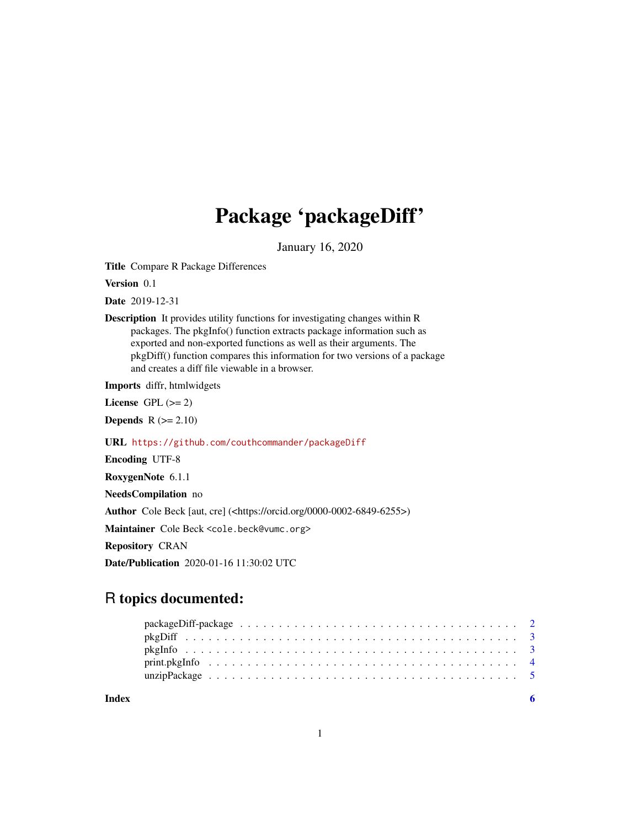## Package 'packageDiff'

January 16, 2020

Title Compare R Package Differences

Version 0.1

Date 2019-12-31

Description It provides utility functions for investigating changes within R packages. The pkgInfo() function extracts package information such as exported and non-exported functions as well as their arguments. The pkgDiff() function compares this information for two versions of a package and creates a diff file viewable in a browser.

Imports diffr, htmlwidgets

License GPL  $(>= 2)$ 

**Depends**  $R$  ( $>= 2.10$ )

URL <https://github.com/couthcommander/packageDiff>

Encoding UTF-8 RoxygenNote 6.1.1

NeedsCompilation no

Author Cole Beck [aut, cre] (<https://orcid.org/0000-0002-6849-6255>)

Maintainer Cole Beck <cole.beck@vumc.org>

Repository CRAN

Date/Publication 2020-01-16 11:30:02 UTC

### R topics documented:

**Index** [6](#page-5-0) **6**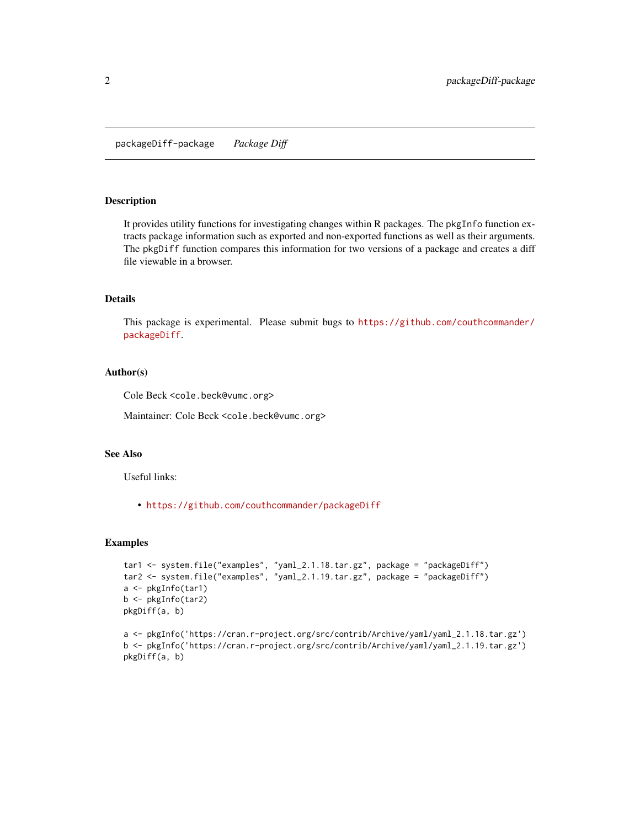<span id="page-1-0"></span>packageDiff-package *Package Diff*

#### Description

It provides utility functions for investigating changes within R packages. The pkgInfo function extracts package information such as exported and non-exported functions as well as their arguments. The pkgDiff function compares this information for two versions of a package and creates a diff file viewable in a browser.

#### Details

This package is experimental. Please submit bugs to [https://github.com/couthcommander/](https://github.com/couthcommander/packageDiff) [packageDiff](https://github.com/couthcommander/packageDiff).

#### Author(s)

Cole Beck <cole.beck@vumc.org>

Maintainer: Cole Beck <cole.beck@vumc.org>

#### See Also

Useful links:

• <https://github.com/couthcommander/packageDiff>

#### Examples

```
tar1 <- system.file("examples", "yaml_2.1.18.tar.gz", package = "packageDiff")
tar2 <- system.file("examples", "yaml_2.1.19.tar.gz", package = "packageDiff")
a <- pkgInfo(tar1)
b <- pkgInfo(tar2)
pkgDiff(a, b)
```

```
a <- pkgInfo('https://cran.r-project.org/src/contrib/Archive/yaml/yaml_2.1.18.tar.gz')
b <- pkgInfo('https://cran.r-project.org/src/contrib/Archive/yaml/yaml_2.1.19.tar.gz')
pkgDiff(a, b)
```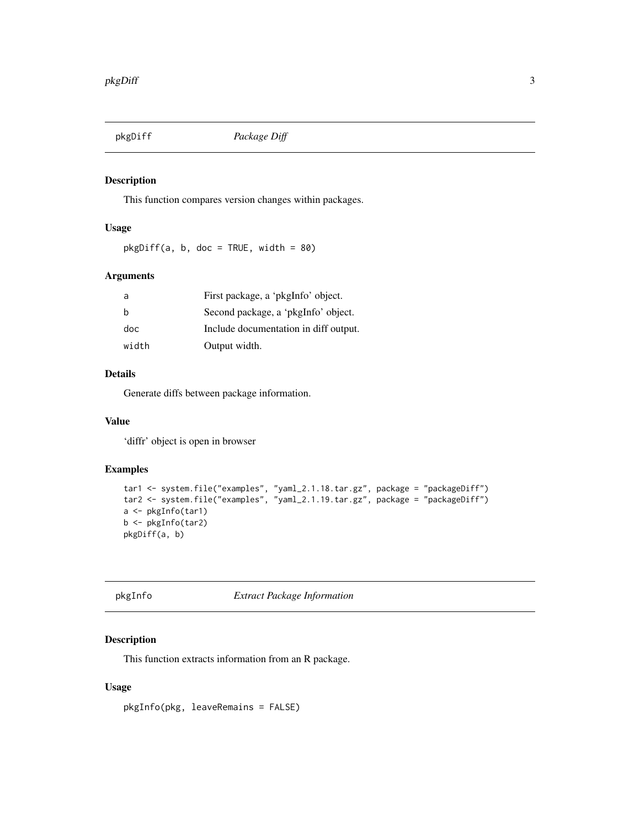<span id="page-2-0"></span>

#### Description

This function compares version changes within packages.

#### Usage

 $pkgDiff(a, b, doc = TRUE, width = 80)$ 

#### Arguments

| a     | First package, a 'pkgInfo' object.    |
|-------|---------------------------------------|
| h     | Second package, a 'pkgInfo' object.   |
| doc   | Include documentation in diff output. |
| width | Output width.                         |

#### Details

Generate diffs between package information.

#### Value

'diffr' object is open in browser

#### Examples

```
tar1 <- system.file("examples", "yaml_2.1.18.tar.gz", package = "packageDiff")
tar2 <- system.file("examples", "yaml_2.1.19.tar.gz", package = "packageDiff")
a <- pkgInfo(tar1)
b <- pkgInfo(tar2)
pkgDiff(a, b)
```
pkgInfo *Extract Package Information*

#### Description

This function extracts information from an R package.

#### Usage

pkgInfo(pkg, leaveRemains = FALSE)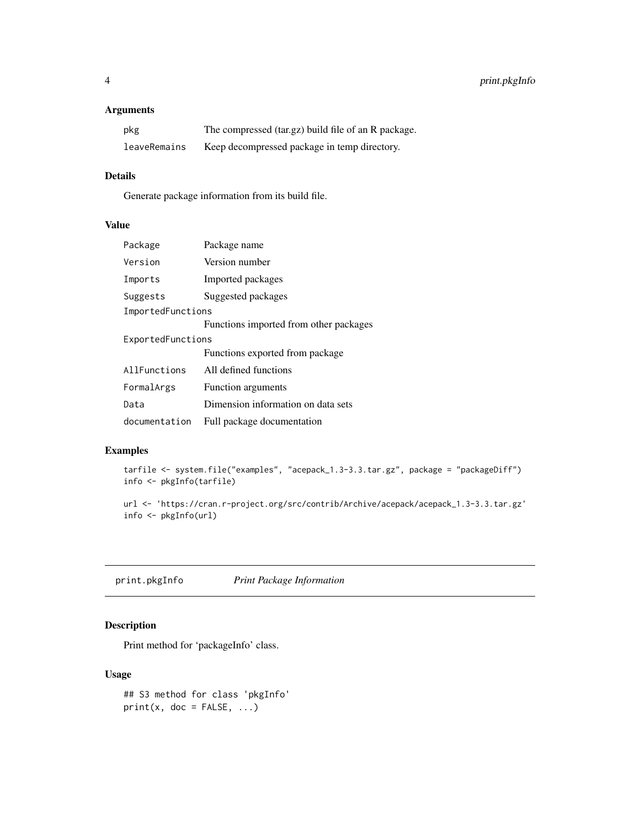#### <span id="page-3-0"></span>Arguments

| pkg          | The compressed (tar.gz) build file of an R package. |
|--------------|-----------------------------------------------------|
| leaveRemains | Keep decompressed package in temp directory.        |

#### Details

Generate package information from its build file.

#### Value

| Package           | Package name                           |  |
|-------------------|----------------------------------------|--|
| Version           | Version number                         |  |
| Imports           | Imported packages                      |  |
| Suggests          | Suggested packages                     |  |
| ImportedFunctions |                                        |  |
|                   | Functions imported from other packages |  |
| ExportedFunctions |                                        |  |
|                   | Functions exported from package        |  |
| AllFunctions      | All defined functions                  |  |
| FormalArgs        | Function arguments                     |  |
| Data              | Dimension information on data sets     |  |
| documentation     | Full package documentation             |  |

#### Examples

```
tarfile <- system.file("examples", "acepack_1.3-3.3.tar.gz", package = "packageDiff")
info <- pkgInfo(tarfile)
```

```
url <- 'https://cran.r-project.org/src/contrib/Archive/acepack/acepack_1.3-3.3.tar.gz'
info <- pkgInfo(url)
```
print.pkgInfo *Print Package Information*

#### Description

Print method for 'packageInfo' class.

#### Usage

```
## S3 method for class 'pkgInfo'
print(x, doc = FALSE, ...)
```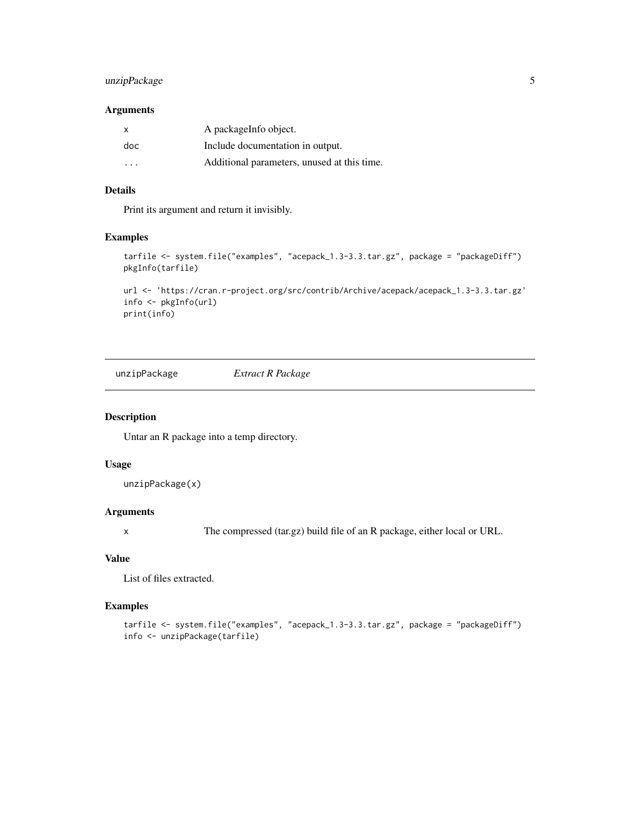#### <span id="page-4-0"></span>unzipPackage 5

#### Arguments

| $\mathsf{x}$            | A package Info object.                      |
|-------------------------|---------------------------------------------|
| doc                     | Include documentation in output.            |
| $\cdot$ $\cdot$ $\cdot$ | Additional parameters, unused at this time. |

#### Details

Print its argument and return it invisibly.

#### Examples

```
tarfile <- system.file("examples", "acepack_1.3-3.3.tar.gz", package = "packageDiff")
pkgInfo(tarfile)
```

```
url <- 'https://cran.r-project.org/src/contrib/Archive/acepack/acepack_1.3-3.3.tar.gz'
info <- pkgInfo(url)
print(info)
```
unzipPackage *Extract R Package*

#### Description

Untar an R package into a temp directory.

#### Usage

```
unzipPackage(x)
```
#### Arguments

x The compressed (tar.gz) build file of an R package, either local or URL.

#### Value

List of files extracted.

#### Examples

```
tarfile <- system.file("examples", "acepack_1.3-3.3.tar.gz", package = "packageDiff")
info <- unzipPackage(tarfile)
```